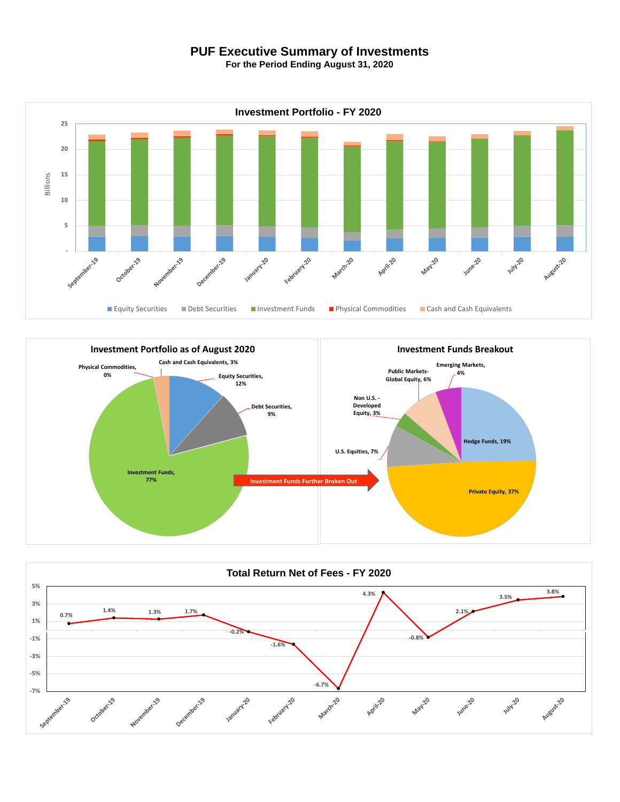## **PUF Executive Summary of Investments**

**For the Period Ending August 31, 2020**